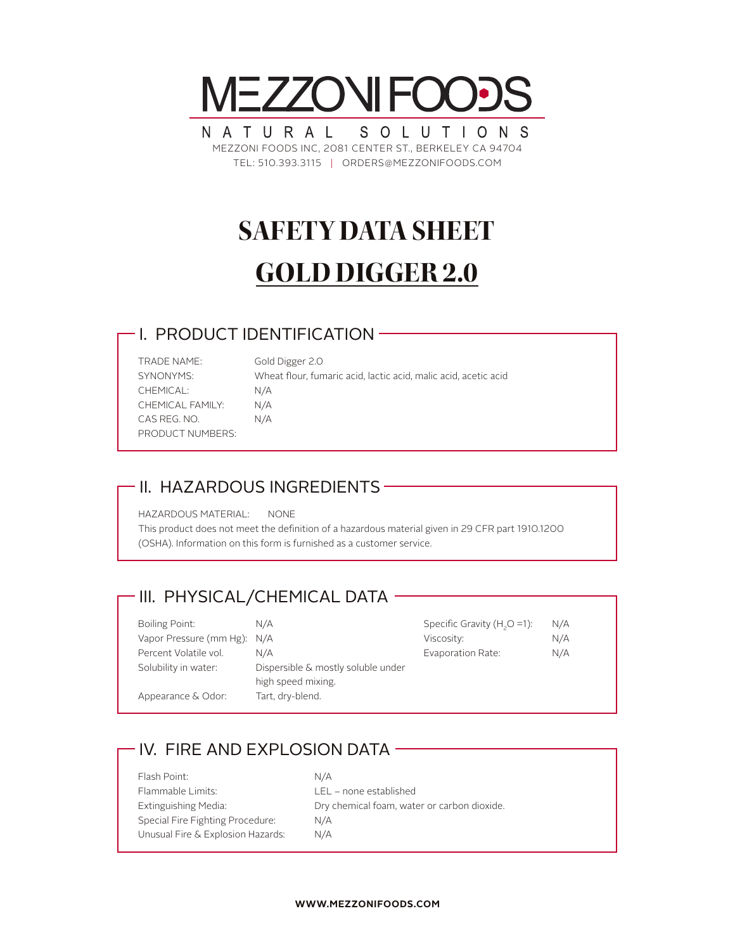

NATURAL SOLUTIONS MEZZONI FOODS INC, 2081 CENTER ST., BERKELEY CA 94704 TEL: 510.393.3115 | ORDERS@MEZZONIFOODS.COM

# **SAFETY DATA SHEET GOLD DIGGER 2.0**

#### I. PRODUCT IDENTIFICATION

| <b>TRADE NAME:</b> |
|--------------------|
| SYNONYMS:          |
| CHEMICAL:          |
| CHEMICAL FAMILY:   |
| CAS REG. NO.       |
| PRODUCT NUMBERS:   |

Gold Digger 2.0 Wheat flour, fumaric acid, lactic acid, malic acid, acetic acid  $N/A$  $N/A$  $N/A$ 

## II. HAZARDOUS INGREDIENTS

HAZARDOUS MATERIAL: NONE

This product does not meet the definition of a hazardous material given in 29 CFR part 1910.1200 (OSHA). Information on this form is furnished as a customer service.

## - III. PHYSICAL/CHEMICAL DATA -

| Boiling Point:              | N/A                                                      | Specific Gravity $(H2O = 1)$ : | N/A |
|-----------------------------|----------------------------------------------------------|--------------------------------|-----|
| Vapor Pressure (mm Hg): N/A |                                                          | Viscosity:                     | N/A |
| Percent Volatile vol.       | N/A                                                      | Evaporation Rate:              | N/A |
| Solubility in water:        | Dispersible & mostly soluble under<br>high speed mixing. |                                |     |
| Appearance & Odor:          | Tart, dry-blend.                                         |                                |     |

## - IV. FIRE AND EXPLOSION DATA -

| Flash Point:                      | N/A                                         |
|-----------------------------------|---------------------------------------------|
| Flammable Limits:                 | $LEL$ – none established                    |
| Extinguishing Media:              | Dry chemical foam, water or carbon dioxide. |
| Special Fire Fighting Procedure:  | N/A                                         |
| Unusual Fire & Explosion Hazards: | N/A                                         |
|                                   |                                             |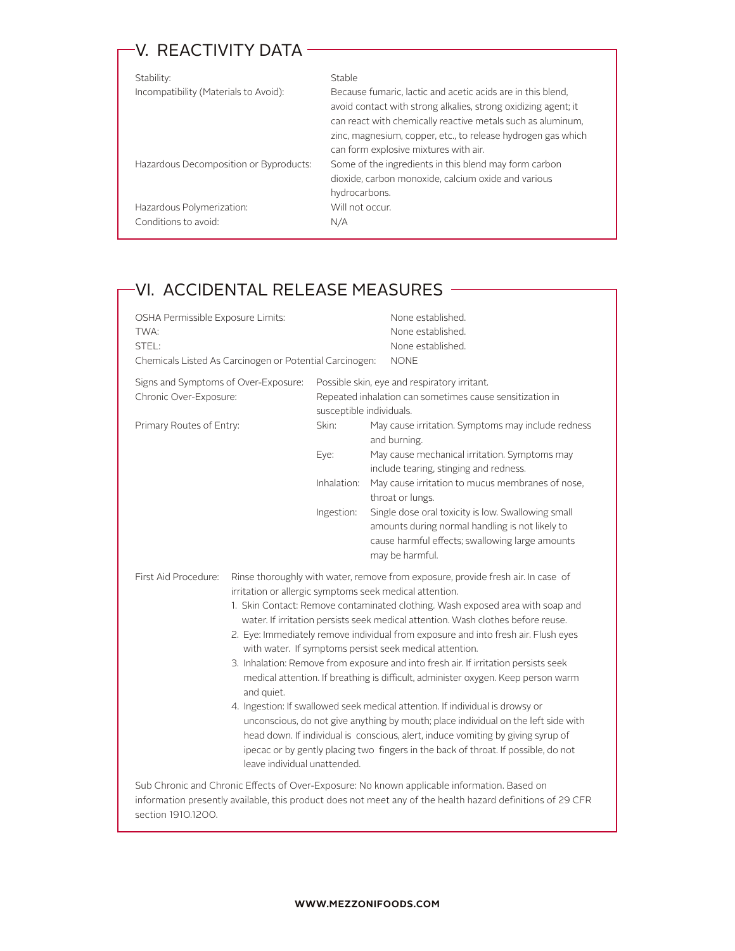## -V. REACTIVITY DATA -

| Stability:                             | Stable                                                                                                                                                                                                                                                                                                |
|----------------------------------------|-------------------------------------------------------------------------------------------------------------------------------------------------------------------------------------------------------------------------------------------------------------------------------------------------------|
| Incompatibility (Materials to Avoid):  | Because fumaric, lactic and acetic acids are in this blend.<br>avoid contact with strong alkalies, strong oxidizing agent; it<br>can react with chemically reactive metals such as aluminum,<br>zinc, magnesium, copper, etc., to release hydrogen gas which<br>can form explosive mixtures with air. |
| Hazardous Decomposition or Byproducts: | Some of the ingredients in this blend may form carbon<br>dioxide, carbon monoxide, calcium oxide and various<br>hydrocarbons.                                                                                                                                                                         |
| Hazardous Polymerization:              | Will not occur.                                                                                                                                                                                                                                                                                       |
| Conditions to avoid:                   | N/A                                                                                                                                                                                                                                                                                                   |

## -VI. ACCIDENTAL RELEASE MEASURES -

| OSHA Permissible Exposure Limits:<br>TWA:<br>STEL:<br>Chemicals Listed As Carcinogen or Potential Carcinogen: |                                                                                                                                                                                                                                                                                                                                                                                                                                                                                                                                                                                                                                                                                                                                                                                                                                                                                                                                                                                                                                 | None established.<br>None established.<br>None established.<br><b>NONE</b>                                                                                                                                                                                                                                                                                                                                                                                                                                                       |
|---------------------------------------------------------------------------------------------------------------|---------------------------------------------------------------------------------------------------------------------------------------------------------------------------------------------------------------------------------------------------------------------------------------------------------------------------------------------------------------------------------------------------------------------------------------------------------------------------------------------------------------------------------------------------------------------------------------------------------------------------------------------------------------------------------------------------------------------------------------------------------------------------------------------------------------------------------------------------------------------------------------------------------------------------------------------------------------------------------------------------------------------------------|----------------------------------------------------------------------------------------------------------------------------------------------------------------------------------------------------------------------------------------------------------------------------------------------------------------------------------------------------------------------------------------------------------------------------------------------------------------------------------------------------------------------------------|
| Signs and Symptoms of Over-Exposure:<br>Chronic Over-Exposure:<br>Primary Routes of Entry:                    | susceptible individuals.<br>Skin:<br>Eye:<br>Inhalation:<br>Ingestion:                                                                                                                                                                                                                                                                                                                                                                                                                                                                                                                                                                                                                                                                                                                                                                                                                                                                                                                                                          | Possible skin, eye and respiratory irritant.<br>Repeated inhalation can sometimes cause sensitization in<br>May cause irritation. Symptoms may include redness<br>and burning.<br>May cause mechanical irritation. Symptoms may<br>include tearing, stinging and redness.<br>May cause irritation to mucus membranes of nose,<br>throat or lungs.<br>Single dose oral toxicity is low. Swallowing small<br>amounts during normal handling is not likely to<br>cause harmful effects; swallowing large amounts<br>may be harmful. |
| First Aid Procedure:<br>and quiet.                                                                            | Rinse thoroughly with water, remove from exposure, provide fresh air. In case of<br>irritation or allergic symptoms seek medical attention.<br>1. Skin Contact: Remove contaminated clothing. Wash exposed area with soap and<br>water. If irritation persists seek medical attention. Wash clothes before reuse.<br>2. Eye: Immediately remove individual from exposure and into fresh air. Flush eyes<br>with water. If symptoms persist seek medical attention.<br>3. Inhalation: Remove from exposure and into fresh air. If irritation persists seek<br>medical attention. If breathing is difficult, administer oxygen. Keep person warm<br>4. Ingestion: If swallowed seek medical attention. If individual is drowsy or<br>unconscious, do not give anything by mouth; place individual on the left side with<br>head down. If individual is conscious, alert, induce vomiting by giving syrup of<br>ipecac or by gently placing two fingers in the back of throat. If possible, do not<br>leave individual unattended. |                                                                                                                                                                                                                                                                                                                                                                                                                                                                                                                                  |
| section 1910.1200.                                                                                            |                                                                                                                                                                                                                                                                                                                                                                                                                                                                                                                                                                                                                                                                                                                                                                                                                                                                                                                                                                                                                                 | Sub Chronic and Chronic Effects of Over-Exposure: No known applicable information. Based on<br>information presently available, this product does not meet any of the health hazard definitions of 29 CFR                                                                                                                                                                                                                                                                                                                        |